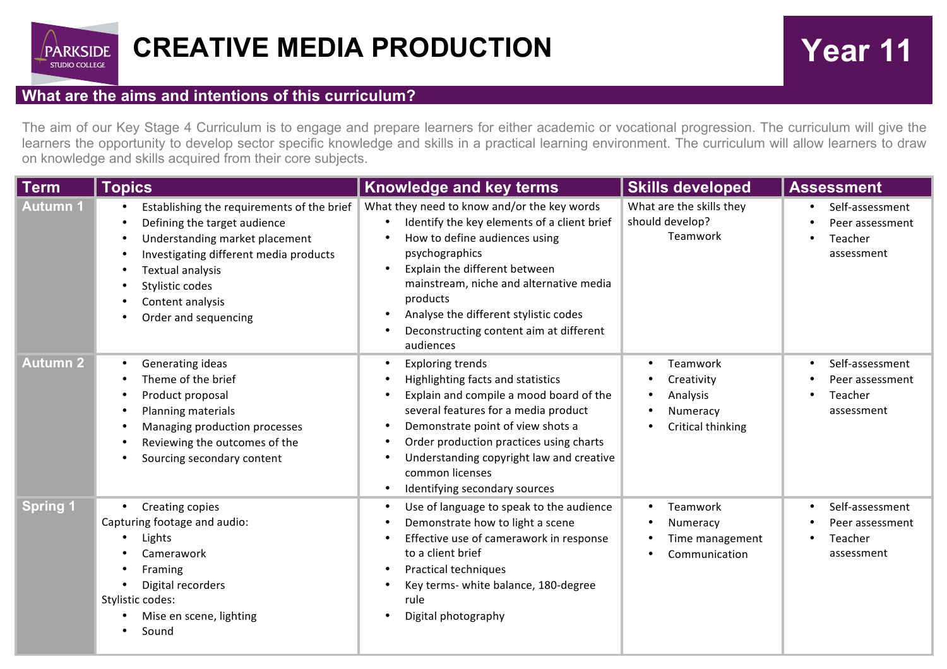

## **What are the aims and intentions of this curriculum?**

The aim of our Key Stage 4 Curriculum is to engage and prepare learners for either academic or vocational progression. The curriculum will give the learners the opportunity to develop sector specific knowledge and skills in a practical learning environment. The curriculum will allow learners to draw on knowledge and skills acquired from their core subjects.

| <b>Term</b>     | <b>Topics</b>                                                                                                                                                                                                                             | <b>Knowledge and key terms</b>                                                                                                                                                                                                                                                                                                                      | <b>Skills developed</b>                                             | <b>Assessment</b>                                           |
|-----------------|-------------------------------------------------------------------------------------------------------------------------------------------------------------------------------------------------------------------------------------------|-----------------------------------------------------------------------------------------------------------------------------------------------------------------------------------------------------------------------------------------------------------------------------------------------------------------------------------------------------|---------------------------------------------------------------------|-------------------------------------------------------------|
| <b>Autumn 1</b> | Establishing the requirements of the brief<br>Defining the target audience<br>Understanding market placement<br>Investigating different media products<br>Textual analysis<br>Stylistic codes<br>Content analysis<br>Order and sequencing | What they need to know and/or the key words<br>Identify the key elements of a client brief<br>How to define audiences using<br>psychographics<br>Explain the different between<br>$\bullet$<br>mainstream, niche and alternative media<br>products<br>Analyse the different stylistic codes<br>Deconstructing content aim at different<br>audiences | What are the skills they<br>should develop?<br>Teamwork             | Self-assessment<br>Peer assessment<br>Teacher<br>assessment |
| <b>Autumn 2</b> | Generating ideas<br>Theme of the brief<br>Product proposal<br>Planning materials<br>Managing production processes<br>Reviewing the outcomes of the<br>Sourcing secondary content                                                          | <b>Exploring trends</b><br>Highlighting facts and statistics<br>Explain and compile a mood board of the<br>several features for a media product<br>Demonstrate point of view shots a<br>Order production practices using charts<br>Understanding copyright law and creative<br>common licenses<br>Identifying secondary sources                     | Teamwork<br>Creativity<br>Analysis<br>Numeracy<br>Critical thinking | Self-assessment<br>Peer assessment<br>Teacher<br>assessment |
| <b>Spring 1</b> | Creating copies<br>$\bullet$<br>Capturing footage and audio:<br>Lights<br>Camerawork<br>Framing<br>Digital recorders<br>Stylistic codes:<br>Mise en scene, lighting<br>Sound                                                              | Use of language to speak to the audience<br>Demonstrate how to light a scene<br>Effective use of camerawork in response<br>to a client brief<br>Practical techniques<br>$\bullet$<br>Key terms- white balance, 180-degree<br>rule<br>Digital photography                                                                                            | Teamwork<br>Numeracy<br>Time management<br>Communication            | Self-assessment<br>Peer assessment<br>Teacher<br>assessment |